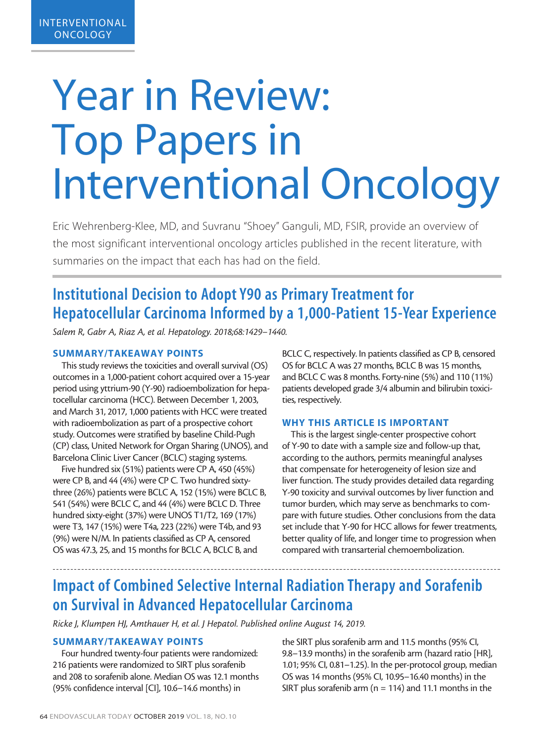# Year in Review: Top Papers in Interventional Oncology

Eric Wehrenberg-Klee, MD, and Suvranu "Shoey" Ganguli, MD, FSIR, provide an overview of the most significant interventional oncology articles published in the recent literature, with summaries on the impact that each has had on the field.

# Institutional Decision to Adopt Y90 as Primary Treatment for Hepatocellular Carcinoma Informed by a 1,000-Patient 15-Year Experience

*Salem R, Gabr A, Riaz A, et al. Hepatology. 2018;68:1429–1440.*

## SUMMARY/TAKEAWAY POINTS

This study reviews the toxicities and overall survival (OS) outcomes in a 1,000-patient cohort acquired over a 15-year period using yttrium-90 (Y-90) radioembolization for hepatocellular carcinoma (HCC). Between December 1, 2003, and March 31, 2017, 1,000 patients with HCC were treated with radioembolization as part of a prospective cohort study. Outcomes were stratified by baseline Child-Pugh (CP) class, United Network for Organ Sharing (UNOS), and Barcelona Clinic Liver Cancer (BCLC) staging systems.

Five hundred six (51%) patients were CP A, 450 (45%) were CP B, and 44 (4%) were CP C. Two hundred sixtythree (26%) patients were BCLC A, 152 (15%) were BCLC B, 541 (54%) were BCLC C, and 44 (4%) were BCLC D. Three hundred sixty-eight (37%) were UNOS T1/T2, 169 (17%) were T3, 147 (15%) were T4a, 223 (22%) were T4b, and 93 (9%) were N/M. In patients classified as CP A, censored OS was 47.3, 25, and 15 months for BCLC A, BCLC B, and

BCLC C, respectively. In patients classified as CP B, censored OS for BCLC A was 27 months, BCLC B was 15 months, and BCLC C was 8 months. Forty-nine (5%) and 110 (11%) patients developed grade 3/4 albumin and bilirubin toxicities, respectively.

#### WHY THIS ARTICLE IS IMPORTANT

This is the largest single-center prospective cohort of Y-90 to date with a sample size and follow-up that, according to the authors, permits meaningful analyses that compensate for heterogeneity of lesion size and liver function. The study provides detailed data regarding Y-90 toxicity and survival outcomes by liver function and tumor burden, which may serve as benchmarks to compare with future studies. Other conclusions from the data set include that Y-90 for HCC allows for fewer treatments, better quality of life, and longer time to progression when compared with transarterial chemoembolization.

## Impact of Combined Selective Internal Radiation Therapy and Sorafenib on Survival in Advanced Hepatocellular Carcinoma

*Ricke J, Klumpen HJ, Amthauer H, et al. J Hepatol. Published online August 14, 2019.*

## SUMMARY/TAKEAWAY POINTS

Four hundred twenty-four patients were randomized: 216 patients were randomized to SIRT plus sorafenib and 208 to sorafenib alone. Median OS was 12.1 months (95% confidence interval [CI], 10.6–14.6 months) in

the SIRT plus sorafenib arm and 11.5 months (95% CI, 9.8–13.9 months) in the sorafenib arm (hazard ratio [HR], 1.01; 95% CI, 0.81–1.25). In the per-protocol group, median OS was 14 months (95% CI, 10.95–16.40 months) in the SIRT plus sorafenib arm ( $n = 114$ ) and 11.1 months in the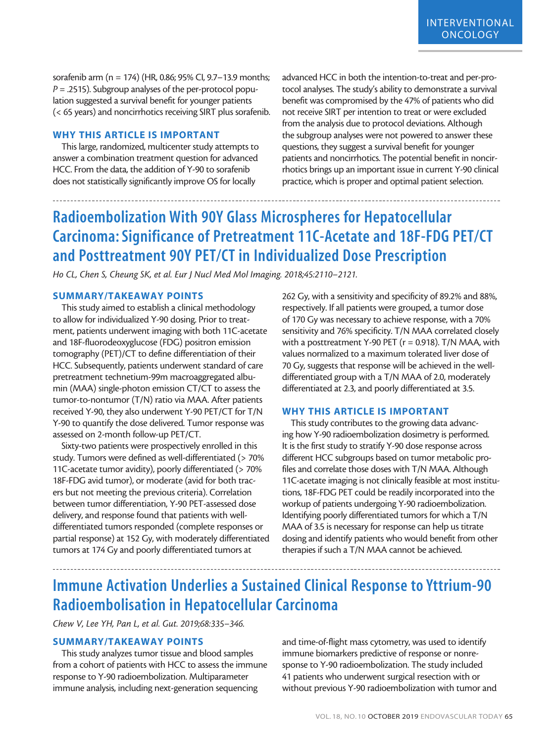sorafenib arm (n = 174) (HR, 0.86; 95% CI, 9.7–13.9 months; *P* = .2515). Subgroup analyses of the per-protocol population suggested a survival benefit for younger patients (< 65 years) and noncirrhotics receiving SIRT plus sorafenib.

## WHY THIS ARTICLE IS IMPORTANT

This large, randomized, multicenter study attempts to answer a combination treatment question for advanced HCC. From the data, the addition of Y-90 to sorafenib does not statistically significantly improve OS for locally

advanced HCC in both the intention-to-treat and per-protocol analyses. The study's ability to demonstrate a survival benefit was compromised by the 47% of patients who did not receive SIRT per intention to treat or were excluded from the analysis due to protocol deviations. Although the subgroup analyses were not powered to answer these questions, they suggest a survival benefit for younger patients and noncirrhotics. The potential benefit in noncirrhotics brings up an important issue in current Y-90 clinical practice, which is proper and optimal patient selection.

# Radioembolization With 90Y Glass Microspheres for Hepatocellular Carcinoma: Significance of Pretreatment 11C-Acetate and 18F-FDG PET/CT and Posttreatment 90Y PET/CT in Individualized Dose Prescription

*Ho CL, Chen S, Cheung SK, et al. Eur J Nucl Med Mol Imaging. 2018;45:2110–2121.*

#### SUMMARY/TAKEAWAY POINTS

This study aimed to establish a clinical methodology to allow for individualized Y-90 dosing. Prior to treatment, patients underwent imaging with both 11C-acetate and 18F-fluorodeoxyglucose (FDG) positron emission tomography (PET)/CT to define differentiation of their HCC. Subsequently, patients underwent standard of care pretreatment technetium-99m macroaggregated albumin (MAA) single-photon emission CT/CT to assess the tumor-to-nontumor (T/N) ratio via MAA. After patients received Y-90, they also underwent Y-90 PET/CT for T/N Y-90 to quantify the dose delivered. Tumor response was assessed on 2-month follow-up PET/CT.

Sixty-two patients were prospectively enrolled in this study. Tumors were defined as well-differentiated (> 70% 11C-acetate tumor avidity), poorly differentiated (> 70% 18F-FDG avid tumor), or moderate (avid for both tracers but not meeting the previous criteria). Correlation between tumor differentiation, Y-90 PET-assessed dose delivery, and response found that patients with welldifferentiated tumors responded (complete responses or partial response) at 152 Gy, with moderately differentiated tumors at 174 Gy and poorly differentiated tumors at

262 Gy, with a sensitivity and specificity of 89.2% and 88%, respectively. If all patients were grouped, a tumor dose of 170 Gy was necessary to achieve response, with a 70% sensitivity and 76% specificity. T/N MAA correlated closely with a posttreatment Y-90 PET ( $r = 0.918$ ). T/N MAA, with values normalized to a maximum tolerated liver dose of 70 Gy, suggests that response will be achieved in the welldifferentiated group with a T/N MAA of 2.0, moderately differentiated at 2.3, and poorly differentiated at 3.5.

#### WHY THIS ARTICLE IS IMPORTANT

This study contributes to the growing data advancing how Y-90 radioembolization dosimetry is performed. It is the first study to stratify Y-90 dose response across different HCC subgroups based on tumor metabolic profiles and correlate those doses with T/N MAA. Although 11C-acetate imaging is not clinically feasible at most institutions, 18F-FDG PET could be readily incorporated into the workup of patients undergoing Y-90 radioembolization. Identifying poorly differentiated tumors for which a T/N MAA of 3.5 is necessary for response can help us titrate dosing and identify patients who would benefit from other therapies if such a T/N MAA cannot be achieved.

# Immune Activation Underlies a Sustained Clinical Response to Yttrium-90 Radioembolisation in Hepatocellular Carcinoma

*Chew V, Lee YH, Pan L, et al. Gut. 2019;68:335–346.*

## SUMMARY/TAKEAWAY POINTS

This study analyzes tumor tissue and blood samples from a cohort of patients with HCC to assess the immune response to Y-90 radioembolization. Multiparameter immune analysis, including next-generation sequencing

and time-of-flight mass cytometry, was used to identify immune biomarkers predictive of response or nonresponse to Y-90 radioembolization. The study included 41 patients who underwent surgical resection with or without previous Y-90 radioembolization with tumor and